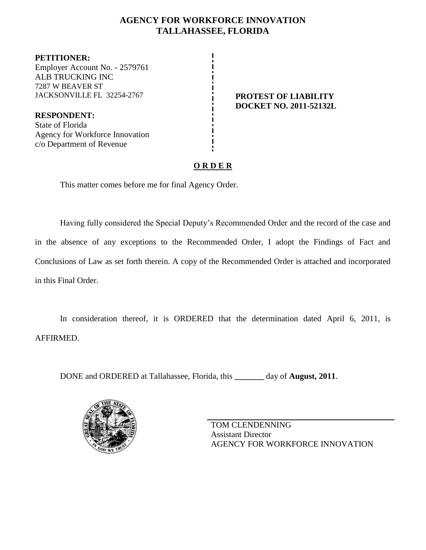## **AGENCY FOR WORKFORCE INNOVATION TALLAHASSEE, FLORIDA**

**PETITIONER:** Employer Account No. - 2579761 ALB TRUCKING INC 7287 W BEAVER ST JACKSONVILLE FL 32254-2767 **PROTEST OF LIABILITY**

**RESPONDENT:** State of Florida Agency for Workforce Innovation c/o Department of Revenue

# **DOCKET NO. 2011-52132L**

# **O R D E R**

This matter comes before me for final Agency Order.

Having fully considered the Special Deputy's Recommended Order and the record of the case and in the absence of any exceptions to the Recommended Order, I adopt the Findings of Fact and Conclusions of Law as set forth therein. A copy of the Recommended Order is attached and incorporated in this Final Order.

In consideration thereof, it is ORDERED that the determination dated April 6, 2011, is AFFIRMED.

DONE and ORDERED at Tallahassee, Florida, this **\_\_\_\_\_\_\_** day of **August, 2011**.



TOM CLENDENNING Assistant Director AGENCY FOR WORKFORCE INNOVATION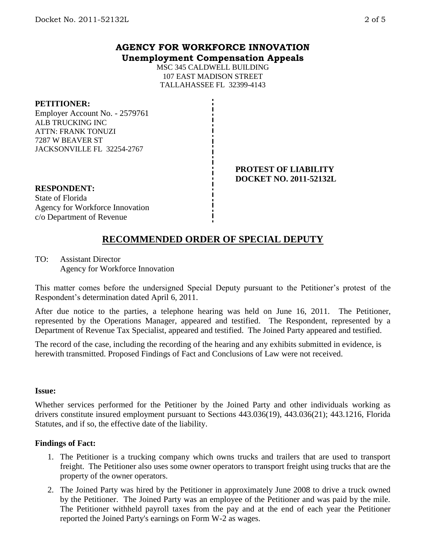### **AGENCY FOR WORKFORCE INNOVATION Unemployment Compensation Appeals**

MSC 345 CALDWELL BUILDING 107 EAST MADISON STREET TALLAHASSEE FL 32399-4143

#### **PETITIONER:**

Employer Account No. - 2579761 ALB TRUCKING INC ATTN: FRANK TONUZI 7287 W BEAVER ST JACKSONVILLE FL 32254-2767

#### **PROTEST OF LIABILITY DOCKET NO. 2011-52132L**

**RESPONDENT:** State of Florida Agency for Workforce Innovation c/o Department of Revenue

# **RECOMMENDED ORDER OF SPECIAL DEPUTY**

TO: Assistant Director Agency for Workforce Innovation

This matter comes before the undersigned Special Deputy pursuant to the Petitioner's protest of the Respondent's determination dated April 6, 2011.

After due notice to the parties, a telephone hearing was held on June 16, 2011. The Petitioner, represented by the Operations Manager, appeared and testified. The Respondent, represented by a Department of Revenue Tax Specialist, appeared and testified. The Joined Party appeared and testified.

The record of the case, including the recording of the hearing and any exhibits submitted in evidence, is herewith transmitted. Proposed Findings of Fact and Conclusions of Law were not received.

#### **Issue:**

Whether services performed for the Petitioner by the Joined Party and other individuals working as drivers constitute insured employment pursuant to Sections 443.036(19), 443.036(21); 443.1216, Florida Statutes, and if so, the effective date of the liability.

#### **Findings of Fact:**

- 1. The Petitioner is a trucking company which owns trucks and trailers that are used to transport freight. The Petitioner also uses some owner operators to transport freight using trucks that are the property of the owner operators.
- 2. The Joined Party was hired by the Petitioner in approximately June 2008 to drive a truck owned by the Petitioner. The Joined Party was an employee of the Petitioner and was paid by the mile. The Petitioner withheld payroll taxes from the pay and at the end of each year the Petitioner reported the Joined Party's earnings on Form W-2 as wages.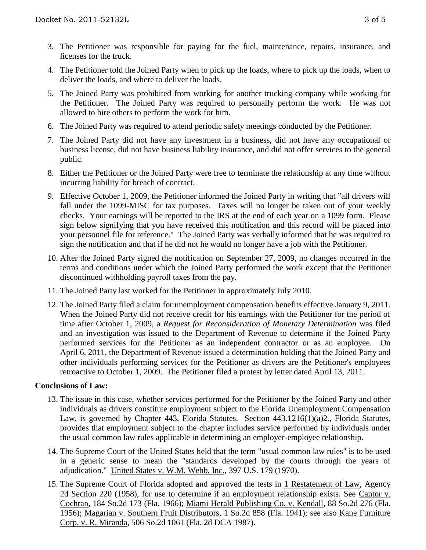- 3. The Petitioner was responsible for paying for the fuel, maintenance, repairs, insurance, and licenses for the truck.
- 4. The Petitioner told the Joined Party when to pick up the loads, where to pick up the loads, when to deliver the loads, and where to deliver the loads.
- 5. The Joined Party was prohibited from working for another trucking company while working for the Petitioner. The Joined Party was required to personally perform the work. He was not allowed to hire others to perform the work for him.
- 6. The Joined Party was required to attend periodic safety meetings conducted by the Petitioner.
- 7. The Joined Party did not have any investment in a business, did not have any occupational or business license, did not have business liability insurance, and did not offer services to the general public.
- 8. Either the Petitioner or the Joined Party were free to terminate the relationship at any time without incurring liability for breach of contract.
- 9. Effective October 1, 2009, the Petitioner informed the Joined Party in writing that "all drivers will fall under the 1099-MISC for tax purposes. Taxes will no longer be taken out of your weekly checks. Your earnings will be reported to the IRS at the end of each year on a 1099 form. Please sign below signifying that you have received this notification and this record will be placed into your personnel file for reference." The Joined Party was verbally informed that he was required to sign the notification and that if he did not he would no longer have a job with the Petitioner.
- 10. After the Joined Party signed the notification on September 27, 2009, no changes occurred in the terms and conditions under which the Joined Party performed the work except that the Petitioner discontinued withholding payroll taxes from the pay.
- 11. The Joined Party last worked for the Petitioner in approximately July 2010.
- 12. The Joined Party filed a claim for unemployment compensation benefits effective January 9, 2011. When the Joined Party did not receive credit for his earnings with the Petitioner for the period of time after October 1, 2009, a *Request for Reconsideration of Monetary Determination* was filed and an investigation was issued to the Department of Revenue to determine if the Joined Party performed services for the Petitioner as an independent contractor or as an employee. On April 6, 2011, the Department of Revenue issued a determination holding that the Joined Party and other individuals performing services for the Petitioner as drivers are the Petitioner's employees retroactive to October 1, 2009. The Petitioner filed a protest by letter dated April 13, 2011.

#### **Conclusions of Law:**

- 13. The issue in this case, whether services performed for the Petitioner by the Joined Party and other individuals as drivers constitute employment subject to the Florida Unemployment Compensation Law, is governed by Chapter 443, Florida Statutes. Section  $443.1216(1)(a)2$ ., Florida Statutes, provides that employment subject to the chapter includes service performed by individuals under the usual common law rules applicable in determining an employer-employee relationship.
- 14. The Supreme Court of the United States held that the term "usual common law rules" is to be used in a generic sense to mean the "standards developed by the courts through the years of adjudication." United States v. W.M. Webb, Inc., 397 U.S. 179 (1970).
- 15. The Supreme Court of Florida adopted and approved the tests in 1 Restatement of Law, Agency 2d Section 220 (1958), for use to determine if an employment relationship exists. See Cantor v. Cochran, 184 So.2d 173 (Fla. 1966); Miami Herald Publishing Co. v. Kendall, 88 So.2d 276 (Fla. 1956); Magarian v. Southern Fruit Distributors, 1 So.2d 858 (Fla. 1941); see also Kane Furniture Corp. v. R. Miranda, 506 So.2d 1061 (Fla. 2d DCA 1987).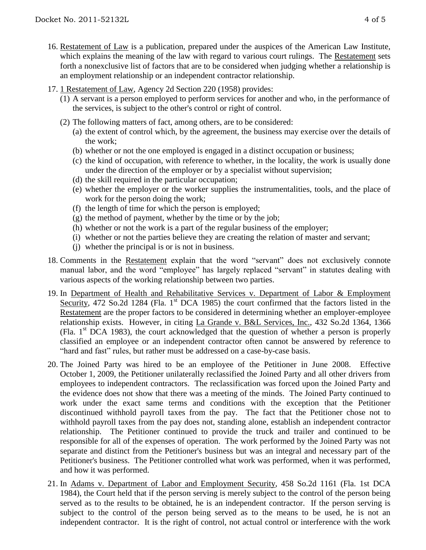- 16. Restatement of Law is a publication, prepared under the auspices of the American Law Institute, which explains the meaning of the law with regard to various court rulings. The Restatement sets forth a nonexclusive list of factors that are to be considered when judging whether a relationship is an employment relationship or an independent contractor relationship.
- 17. 1 Restatement of Law, Agency 2d Section 220 (1958) provides:
	- (1) A servant is a person employed to perform services for another and who, in the performance of the services, is subject to the other's control or right of control.
	- (2) The following matters of fact, among others, are to be considered:
		- (a) the extent of control which, by the agreement, the business may exercise over the details of the work;
		- (b) whether or not the one employed is engaged in a distinct occupation or business;
		- (c) the kind of occupation, with reference to whether, in the locality, the work is usually done under the direction of the employer or by a specialist without supervision;
		- (d) the skill required in the particular occupation;
		- (e) whether the employer or the worker supplies the instrumentalities, tools, and the place of work for the person doing the work;
		- (f) the length of time for which the person is employed;
		- $(g)$  the method of payment, whether by the time or by the job;
		- (h) whether or not the work is a part of the regular business of the employer;
		- (i) whether or not the parties believe they are creating the relation of master and servant;
		- (j) whether the principal is or is not in business.
- 18. Comments in the Restatement explain that the word "servant" does not exclusively connote manual labor, and the word "employee" has largely replaced "servant" in statutes dealing with various aspects of the working relationship between two parties.
- 19. In Department of Health and Rehabilitative Services v. Department of Labor & Employment Security, 472 So.2d 1284 (Fla. 1<sup>st</sup> DCA 1985) the court confirmed that the factors listed in the Restatement are the proper factors to be considered in determining whether an employer-employee relationship exists. However, in citing La Grande v. B&L Services, Inc., 432 So.2d 1364, 1366 (Fla. 1st DCA 1983), the court acknowledged that the question of whether a person is properly classified an employee or an independent contractor often cannot be answered by reference to "hard and fast" rules, but rather must be addressed on a case-by-case basis.
- 20. The Joined Party was hired to be an employee of the Petitioner in June 2008. Effective October 1, 2009, the Petitioner unilaterally reclassified the Joined Party and all other drivers from employees to independent contractors. The reclassification was forced upon the Joined Party and the evidence does not show that there was a meeting of the minds. The Joined Party continued to work under the exact same terms and conditions with the exception that the Petitioner discontinued withhold payroll taxes from the pay. The fact that the Petitioner chose not to withhold payroll taxes from the pay does not, standing alone, establish an independent contractor relationship. The Petitioner continued to provide the truck and trailer and continued to be responsible for all of the expenses of operation. The work performed by the Joined Party was not separate and distinct from the Petitioner's business but was an integral and necessary part of the Petitioner's business. The Petitioner controlled what work was performed, when it was performed, and how it was performed.
- 21. In Adams v. Department of Labor and Employment Security, 458 So.2d 1161 (Fla. 1st DCA 1984), the Court held that if the person serving is merely subject to the control of the person being served as to the results to be obtained, he is an independent contractor. If the person serving is subject to the control of the person being served as to the means to be used, he is not an independent contractor. It is the right of control, not actual control or interference with the work